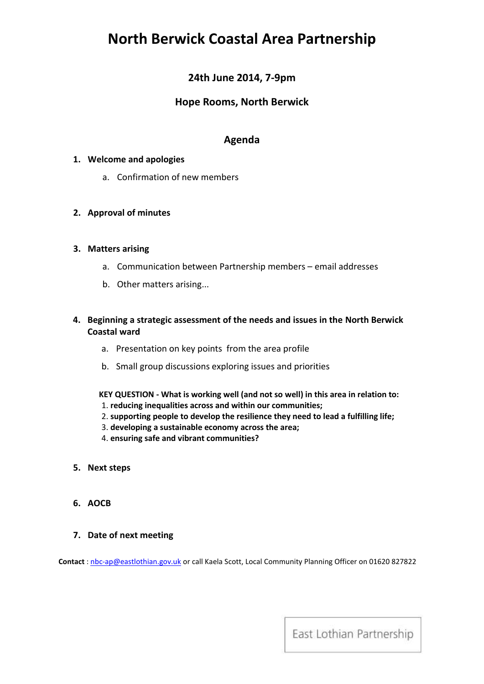# **North Berwick Coastal Area Partnership**

# **24th June 2014, 7-9pm**

# **Hope Rooms, North Berwick**

# **Agenda**

## **1. Welcome and apologies**

a. Confirmation of new members

### **2. Approval of minutes**

#### **3. Matters arising**

- a. Communication between Partnership members email addresses
- b. Other matters arising...

## **4. Beginning a strategic assessment of the needs and issues in the North Berwick Coastal ward**

- a. Presentation on key points from the area profile
- b. Small group discussions exploring issues and priorities

**KEY QUESTION - What is working well (and not so well) in this area in relation to:**

- 1. **reducing inequalities across and within our communities;**
- 2. **supporting people to develop the resilience they need to lead a fulfilling life;**
- 3. **developing a sustainable economy across the area;**
- 4. **ensuring safe and vibrant communities?**
- **5. Next steps**
- **6. AOCB**

#### **7. Date of next meeting**

**Contact** [: nbc-ap@eastlothian.gov.uk](mailto:nbc-ap@eastlothian.gov.uk) or call Kaela Scott, Local Community Planning Officer on 01620 827822

East Lothian Partnership